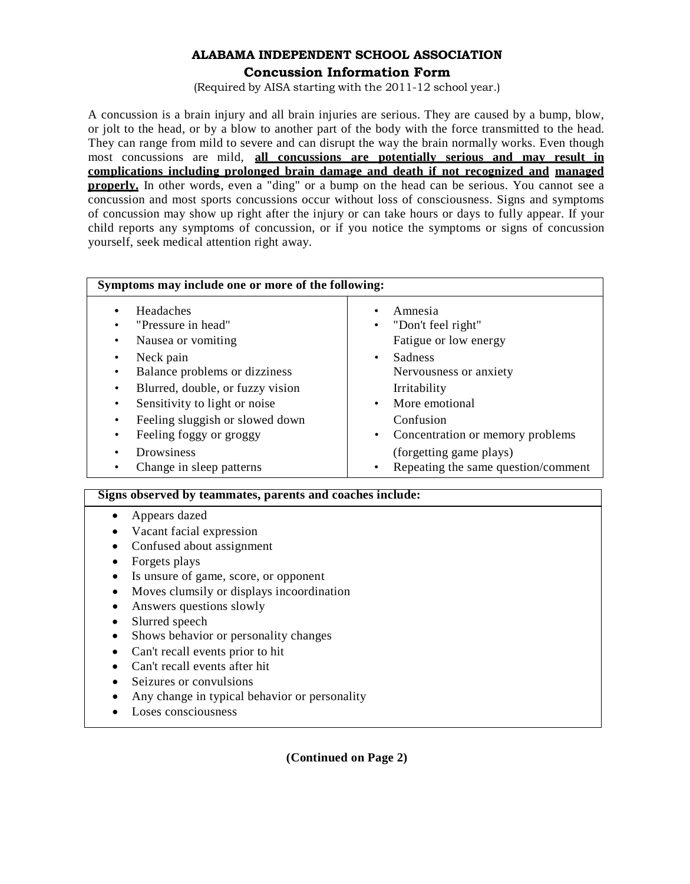## **ALABAMA INDEPENDENT SCHOOL ASSOCIATION Concussion Information Form**

(Required by AISA starting with the 2011-12 school year.)

A concussion is a brain injury and all brain injuries are serious. They are caused by a bump, blow, or jolt to the head, or by a blow to another part of the body with the force transmitted to the head. They can range from mild to severe and can disrupt the way the brain normally works. Even though most concussions are mild, **all concussions are potentially serious and may result in complications including prolonged brain damage and death if not recognized and managed properly.** In other words, even a "ding" or a bump on the head can be serious. You cannot see a concussion and most sports concussions occur without loss of consciousness. Signs and symptoms of concussion may show up right after the injury or can take hours or days to fully appear. If your child reports any symptoms of concussion, or if you notice the symptoms or signs of concussion yourself, seek medical attention right away.

| Symptoms may include one or more of the following:                                                                                                                                                                                                                                                                    |                                                                                                                                                                                                                                                                                         |
|-----------------------------------------------------------------------------------------------------------------------------------------------------------------------------------------------------------------------------------------------------------------------------------------------------------------------|-----------------------------------------------------------------------------------------------------------------------------------------------------------------------------------------------------------------------------------------------------------------------------------------|
| Headaches<br>"Pressure in head"<br>Nausea or vomiting<br>٠<br>Neck pain<br>Balance problems or dizziness<br>٠<br>Blurred, double, or fuzzy vision<br>Sensitivity to light or noise<br>٠<br>Feeling sluggish or slowed down<br>٠<br>Feeling foggy or groggy<br>٠<br><b>Drowsiness</b><br>Change in sleep patterns<br>٠ | Amnesia<br>"Don't feel right"<br>Fatigue or low energy<br>Sadness<br>$\bullet$<br>Nervousness or anxiety<br>Irritability<br>More emotional<br>$\bullet$<br>Confusion<br>Concentration or memory problems<br>$\bullet$<br>(forgetting game plays)<br>Repeating the same question/comment |

## **Signs observed by teammates, parents and coaches include:**

- Appears dazed
- Vacant facial expression
- Confused about assignment
- Forgets plays
- Is unsure of game, score, or opponent
- Moves clumsily or displays incoordination
- Answers questions slowly
- Slurred speech
- Shows behavior or personality changes
- Can't recall events prior to hit
- Can't recall events after hit
- Seizures or convulsions
- Any change in typical behavior or personality
- Loses consciousness

**(Continued on Page 2)**